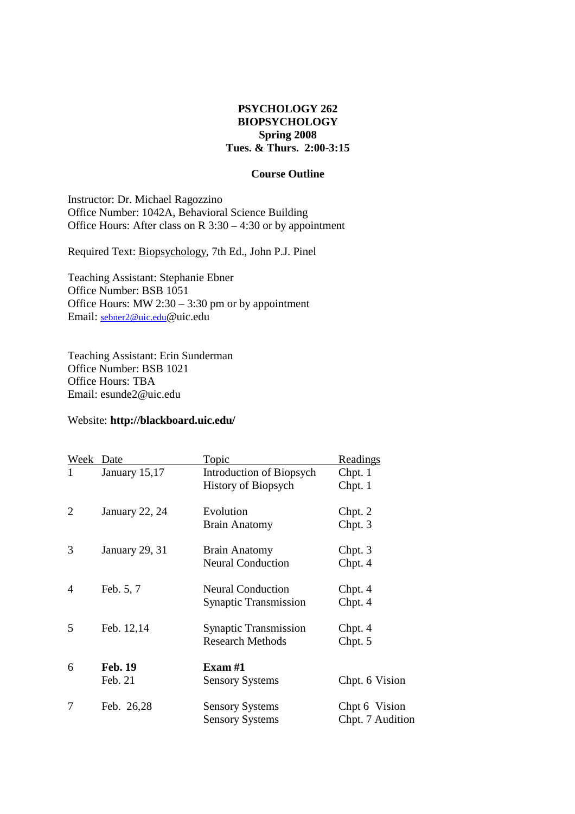# **PSYCHOLOGY 262 BIOPSYCHOLOGY Spring 2008 Tues. & Thurs. 2:00-3:15**

# **Course Outline**

Instructor: Dr. Michael Ragozzino Office Number: 1042A, Behavioral Science Building Office Hours: After class on R  $3:30 - 4:30$  or by appointment

Required Text: Biopsychology, 7th Ed., John P.J. Pinel

Teaching Assistant: Stephanie Ebner Office Number: BSB 1051 Office Hours: MW 2:30 – 3:30 pm or by appointment Email: sebner2@uic.edu@uic.edu

Teaching Assistant: Erin Sunderman Office Number: BSB 1021 Office Hours: TBA Email: esunde2@uic.edu

# Website: **http://blackboard.uic.edu/**

| Week | Date           | <u>Topic</u>                    | Readings         |
|------|----------------|---------------------------------|------------------|
| 1    | January 15,17  | Introduction of Biopsych        | Chpt. 1          |
|      |                | <b>History of Biopsych</b>      | Chpt. 1          |
| 2    | January 22, 24 | Evolution                       | Chpt. 2          |
|      |                | <b>Brain Anatomy</b>            | Chpt. 3          |
| 3    | January 29, 31 | <b>Brain Anatomy</b>            | Chpt. 3          |
|      |                | <b>Neural Conduction</b>        | Chpt. 4          |
| 4    | Feb. 5, 7      | <b>Neural Conduction</b>        | Chpt. 4          |
|      |                | <b>Synaptic Transmission</b>    | Chpt. 4          |
| 5    | Feb. 12,14     | <b>Synaptic Transmission</b>    | Chpt. 4          |
|      |                | <b>Research Methods</b>         | Chpt. 5          |
| 6    | <b>Feb. 19</b> | $\boldsymbol{\mathrm{Exam}}$ #1 |                  |
|      | Feb. 21        | <b>Sensory Systems</b>          | Chpt. 6 Vision   |
| 7    | Feb. 26,28     | <b>Sensory Systems</b>          | Chpt 6 Vision    |
|      |                | <b>Sensory Systems</b>          | Chpt. 7 Audition |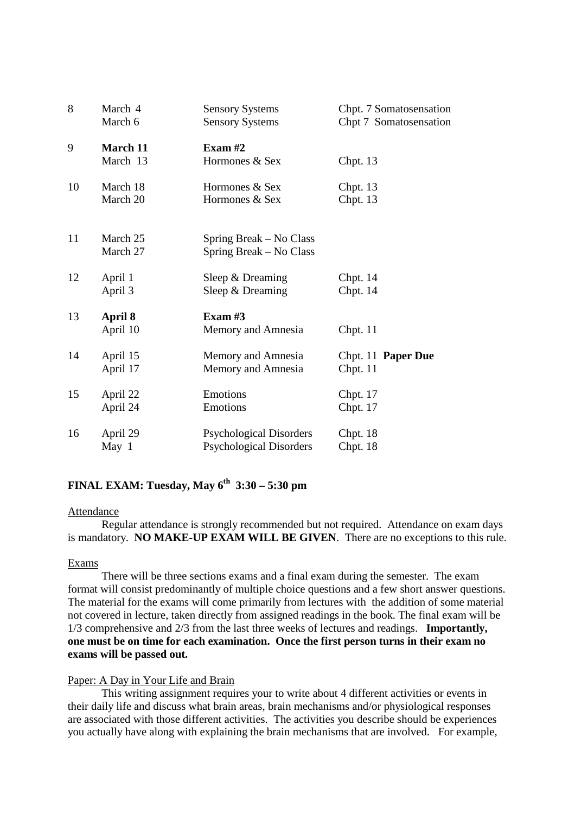| 8  | March 4                     | <b>Sensory Systems</b>                             | Chpt. 7 Somatosensation |
|----|-----------------------------|----------------------------------------------------|-------------------------|
|    | March 6                     | <b>Sensory Systems</b>                             | Chpt 7 Somatosensation  |
| 9  | <b>March 11</b><br>March 13 | Exam $#2$<br>Hormones & Sex                        | Chpt. $13$              |
| 10 | March 18                    | Hormones & Sex                                     | Chpt. $13$              |
|    | March 20                    | Hormones & Sex                                     | Chpt. 13                |
| 11 | March 25<br>March 27        | Spring Break – No Class<br>Spring Break – No Class |                         |
| 12 | April 1                     | Sleep & Dreaming                                   | Chpt. $14$              |
|    | April 3                     | Sleep & Dreaming                                   | Chpt. $14$              |
| 13 | April 8<br>April 10         | Exam $#3$<br>Memory and Amnesia                    | Chpt. 11                |
| 14 | April 15                    | Memory and Amnesia                                 | Chpt. 11 Paper Due      |
|    | April 17                    | Memory and Amnesia                                 | Chpt. 11                |
| 15 | April 22                    | Emotions                                           | Chpt. $17$              |
|    | April 24                    | Emotions                                           | Chpt. 17                |
| 16 | April 29                    | <b>Psychological Disorders</b>                     | Chpt. $18$              |
|    | May $1$                     | <b>Psychological Disorders</b>                     | Chpt. 18                |

# **FINAL EXAM: Tuesday, May 6th 3:30 – 5:30 pm**

#### Attendance

 Regular attendance is strongly recommended but not required. Attendance on exam days is mandatory. **NO MAKE-UP EXAM WILL BE GIVEN**. There are no exceptions to this rule.

## Exams

 There will be three sections exams and a final exam during the semester. The exam format will consist predominantly of multiple choice questions and a few short answer questions. The material for the exams will come primarily from lectures with the addition of some material not covered in lecture, taken directly from assigned readings in the book. The final exam will be 1/3 comprehensive and 2/3 from the last three weeks of lectures and readings. **Importantly, one must be on time for each examination. Once the first person turns in their exam no exams will be passed out.** 

## Paper: A Day in Your Life and Brain

 This writing assignment requires your to write about 4 different activities or events in their daily life and discuss what brain areas, brain mechanisms and/or physiological responses are associated with those different activities. The activities you describe should be experiences you actually have along with explaining the brain mechanisms that are involved. For example,